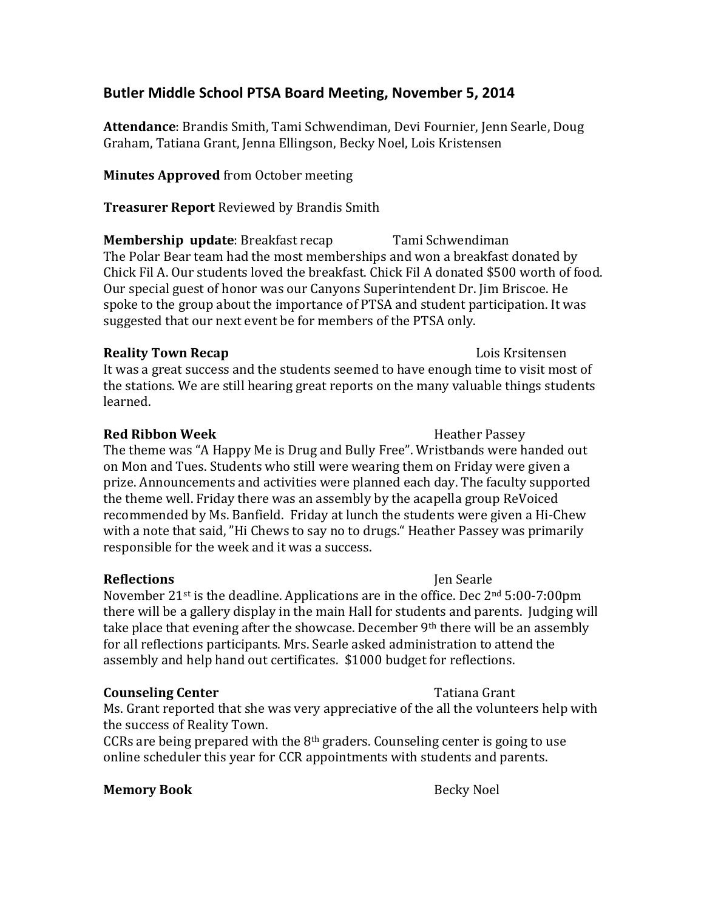# Butler Middle School PTSA Board Meeting, November 5, 2014

**Attendance**: Brandis Smith, Tami Schwendiman, Devi Fournier, Jenn Searle, Doug Graham, Tatiana Grant, Jenna Ellingson, Becky Noel, Lois Kristensen

**Minutes Approved** from October meeting

**Treasurer Report** Reviewed by Brandis Smith

**Membership update**: Breakfast recap Tami Schwendiman The Polar Bear team had the most memberships and won a breakfast donated by Chick Fil A. Our students loved the breakfast. Chick Fil A donated \$500 worth of food. Our special guest of honor was our Canyons Superintendent Dr. Jim Briscoe. He spoke to the group about the importance of PTSA and student participation. It was suggested that our next event be for members of the PTSA only.

## **Reality Town Recap Reality Town Recap Reality Town Recap**

It was a great success and the students seemed to have enough time to visit most of the stations. We are still hearing great reports on the many valuable things students learned. 

## **Red Ribbon Week** Heather Passey

The theme was "A Happy Me is Drug and Bully Free". Wristbands were handed out on Mon and Tues. Students who still were wearing them on Friday were given a prize. Announcements and activities were planned each day. The faculty supported the theme well. Friday there was an assembly by the acapella group ReVoiced recommended by Ms. Banfield. Friday at lunch the students were given a Hi-Chew with a note that said, "Hi Chews to say no to drugs." Heather Passey was primarily responsible for the week and it was a success.

## **Reflections** Jen Searle

November 21<sup>st</sup> is the deadline. Applications are in the office. Dec  $2<sup>nd</sup> 5:00-7:00 \text{pm}$ there will be a gallery display in the main Hall for students and parents. Judging will take place that evening after the showcase. December  $9<sup>th</sup>$  there will be an assembly for all reflections participants. Mrs. Searle asked administration to attend the assembly and help hand out certificates. \$1000 budget for reflections.

## **Counseling Center** Tatiana Grant

Ms. Grant reported that she was very appreciative of the all the volunteers help with the success of Reality Town.

CCRs are being prepared with the  $8<sup>th</sup>$  graders. Counseling center is going to use online scheduler this year for CCR appointments with students and parents.

## **Memory Book** Becky Noel